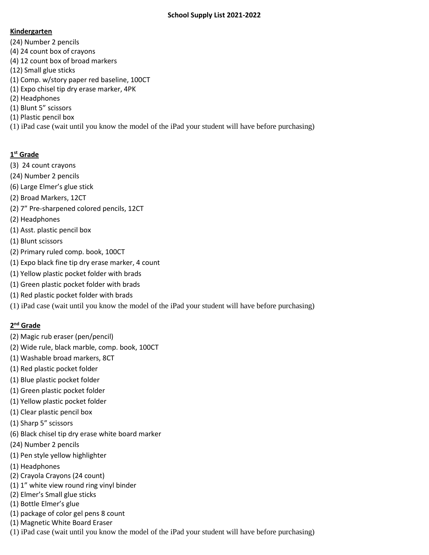#### **Kindergarten**

- (24) Number 2 pencils
- (4) 24 count box of crayons
- (4) 12 count box of broad markers
- (12) Small glue sticks
- (1) Comp. w/story paper red baseline, 100CT
- (1) Expo chisel tip dry erase marker, 4PK
- (2) Headphones
- (1) Blunt 5" scissors
- (1) Plastic pencil box
- (1) iPad case (wait until you know the model of the iPad your student will have before purchasing)

# **1 st Grade**

- (3) 24 count crayons
- (24) Number 2 pencils
- (6) Large Elmer's glue stick
- (2) Broad Markers, 12CT
- (2) 7" Pre-sharpened colored pencils, 12CT
- (2) Headphones
- (1) Asst. plastic pencil box
- (1) Blunt scissors
- (2) Primary ruled comp. book, 100CT
- (1) Expo black fine tip dry erase marker, 4 count
- (1) Yellow plastic pocket folder with brads
- (1) Green plastic pocket folder with brads
- (1) Red plastic pocket folder with brads
- (1) iPad case (wait until you know the model of the iPad your student will have before purchasing)

# **2 nd Grade**

- (2) Magic rub eraser (pen/pencil)
- (2) Wide rule, black marble, comp. book, 100CT
- (1) Washable broad markers, 8CT
- (1) Red plastic pocket folder
- (1) Blue plastic pocket folder
- (1) Green plastic pocket folder
- (1) Yellow plastic pocket folder
- (1) Clear plastic pencil box
- (1) Sharp 5" scissors
- (6) Black chisel tip dry erase white board marker
- (24) Number 2 pencils
- (1) Pen style yellow highlighter
- (1) Headphones
- (2) Crayola Crayons (24 count)
- (1) 1" white view round ring vinyl binder
- (2) Elmer's Small glue sticks
- (1) Bottle Elmer's glue
- (1) package of color gel pens 8 count
- (1) Magnetic White Board Eraser
- (1) iPad case (wait until you know the model of the iPad your student will have before purchasing)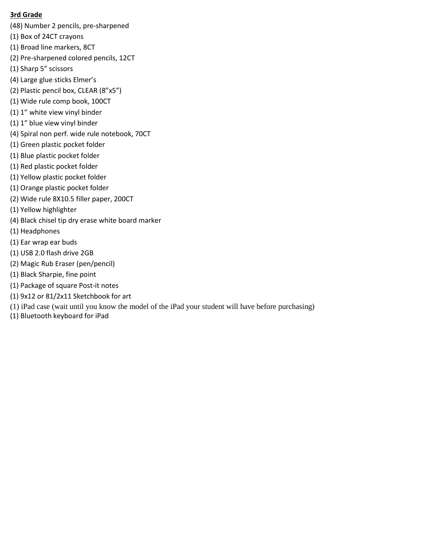#### **3rd Grade**

- (48) Number 2 pencils, pre-sharpened
- (1) Box of 24CT crayons
- (1) Broad line markers, 8CT
- (2) Pre-sharpened colored pencils, 12CT
- (1) Sharp 5" scissors
- (4) Large glue sticks Elmer's
- (2) Plastic pencil box, CLEAR (8"x5")
- (1) Wide rule comp book, 100CT
- (1) 1" white view vinyl binder
- (1) 1" blue view vinyl binder
- (4) Spiral non perf. wide rule notebook, 70CT
- (1) Green plastic pocket folder
- (1) Blue plastic pocket folder
- (1) Red plastic pocket folder
- (1) Yellow plastic pocket folder
- (1) Orange plastic pocket folder
- (2) Wide rule 8X10.5 filler paper, 200CT
- (1) Yellow highlighter
- (4) Black chisel tip dry erase white board marker
- (1) Headphones
- (1) Ear wrap ear buds
- (1) USB 2.0 flash drive 2GB
- (2) Magic Rub Eraser (pen/pencil)
- (1) Black Sharpie, fine point
- (1) Package of square Post-it notes
- (1) 9x12 or 81/2x11 Sketchbook for art
- (1) iPad case (wait until you know the model of the iPad your student will have before purchasing)
- (1) Bluetooth keyboard for iPad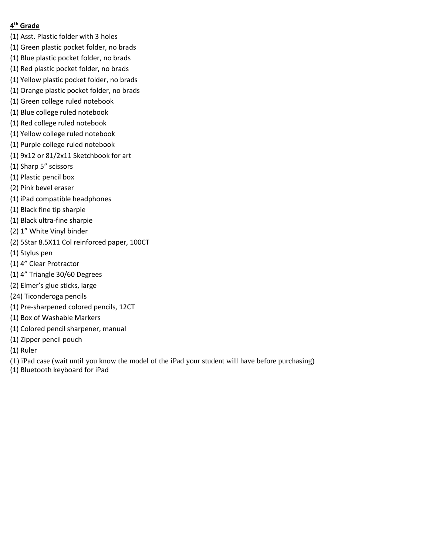#### **4 th Grade**

- (1) Asst. Plastic folder with 3 holes
- (1) Green plastic pocket folder, no brads
- (1) Blue plastic pocket folder, no brads
- (1) Red plastic pocket folder, no brads
- (1) Yellow plastic pocket folder, no brads
- (1) Orange plastic pocket folder, no brads
- (1) Green college ruled notebook
- (1) Blue college ruled notebook
- (1) Red college ruled notebook
- (1) Yellow college ruled notebook
- (1) Purple college ruled notebook
- (1) 9x12 or 81/2x11 Sketchbook for art
- (1) Sharp 5" scissors
- (1) Plastic pencil box
- (2) Pink bevel eraser
- (1) iPad compatible headphones
- (1) Black fine tip sharpie
- (1) Black ultra-fine sharpie
- (2) 1" White Vinyl binder
- (2) 5Star 8.5X11 Col reinforced paper, 100CT
- (1) Stylus pen
- (1) 4" Clear Protractor
- (1) 4" Triangle 30/60 Degrees
- (2) Elmer's glue sticks, large
- (24) Ticonderoga pencils
- (1) Pre-sharpened colored pencils, 12CT
- (1) Box of Washable Markers
- (1) Colored pencil sharpener, manual
- (1) Zipper pencil pouch
- (1) Ruler
- (1) iPad case (wait until you know the model of the iPad your student will have before purchasing)
- (1) Bluetooth keyboard for iPad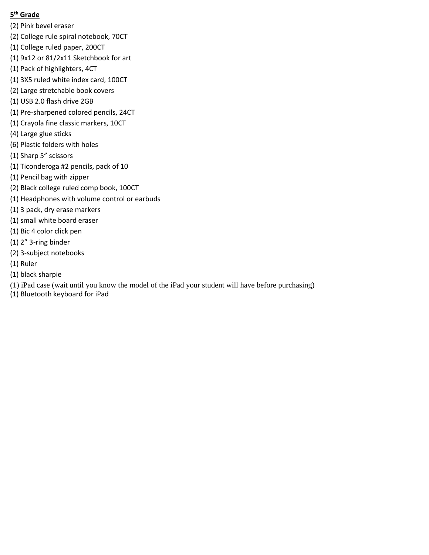## **5 th Grade**

- (2) Pink bevel eraser
- (2) College rule spiral notebook, 70CT
- (1) College ruled paper, 200CT
- (1) 9x12 or 81/2x11 Sketchbook for art
- (1) Pack of highlighters, 4CT
- (1) 3X5 ruled white index card, 100CT
- (2) Large stretchable book covers
- (1) USB 2.0 flash drive 2GB
- (1) Pre-sharpened colored pencils, 24CT
- (1) Crayola fine classic markers, 10CT
- (4) Large glue sticks
- (6) Plastic folders with holes
- (1) Sharp 5" scissors
- (1) Ticonderoga #2 pencils, pack of 10
- (1) Pencil bag with zipper
- (2) Black college ruled comp book, 100CT
- (1) Headphones with volume control or earbuds
- (1) 3 pack, dry erase markers
- (1) small white board eraser
- (1) Bic 4 color click pen
- (1) 2" 3-ring binder
- (2) 3-subject notebooks
- (1) Ruler
- (1) black sharpie
- (1) iPad case (wait until you know the model of the iPad your student will have before purchasing)
- (1) Bluetooth keyboard for iPad